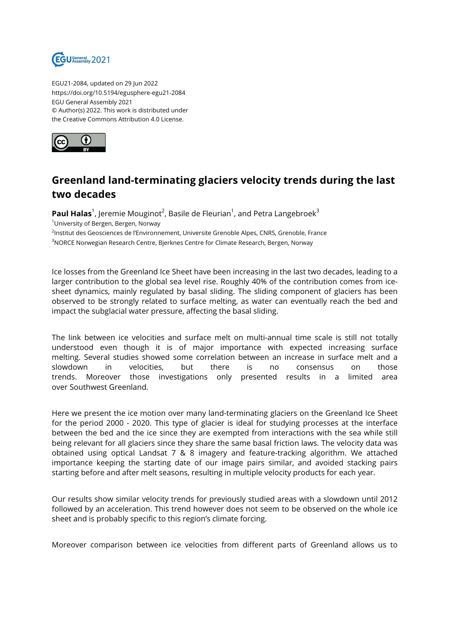

EGU21-2084, updated on 29 Jun 2022 https://doi.org/10.5194/egusphere-egu21-2084 EGU General Assembly 2021 © Author(s) 2022. This work is distributed under the Creative Commons Attribution 4.0 License.



## **Greenland land-terminating glaciers velocity trends during the last two decades**

**Paul Halas**<sup>1</sup>, Jeremie Mouginot<sup>2</sup>, Basile de Fleurian<sup>1</sup>, and Petra Langebroek<sup>3</sup> <sup>1</sup>University of Bergen, Bergen, Norway <sup>2</sup>lnstitut des Geosciences de l'Environnement, Universite Grenoble Alpes, CNRS, Grenoble, France <sup>3</sup>NORCE Norwegian Research Centre, Bjerknes Centre for Climate Research, Bergen, Norway

Ice losses from the Greenland Ice Sheet have been increasing in the last two decades, leading to a larger contribution to the global sea level rise. Roughly 40% of the contribution comes from icesheet dynamics, mainly regulated by basal sliding. The sliding component of glaciers has been observed to be strongly related to surface melting, as water can eventually reach the bed and impact the subglacial water pressure, affecting the basal sliding.

The link between ice velocities and surface melt on multi-annual time scale is still not totally understood even though it is of major importance with expected increasing surface melting. Several studies showed some correlation between an increase in surface melt and a slowdown in velocities, but there is no consensus on those trends. Moreover those investigations only presented results in a limited area over Southwest Greenland.

Here we present the ice motion over many land-terminating glaciers on the Greenland Ice Sheet for the period 2000 - 2020. This type of glacier is ideal for studying processes at the interface between the bed and the ice since they are exempted from interactions with the sea while still being relevant for all glaciers since they share the same basal friction laws. The velocity data was obtained using optical Landsat 7 & 8 imagery and feature-tracking algorithm. We attached importance keeping the starting date of our image pairs similar, and avoided stacking pairs starting before and after melt seasons, resulting in multiple velocity products for each year.

Our results show similar velocity trends for previously studied areas with a slowdown until 2012 followed by an acceleration. This trend however does not seem to be observed on the whole ice sheet and is probably specific to this region's climate forcing.

Moreover comparison between ice velocities from different parts of Greenland allows us to